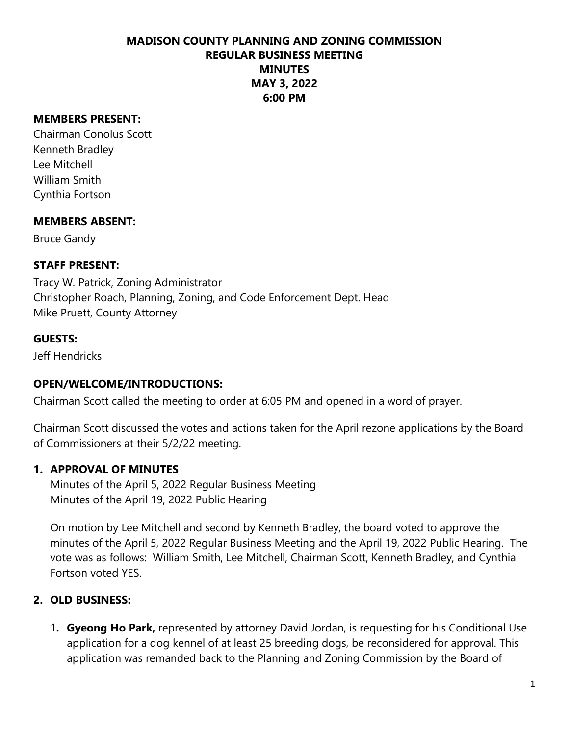## **MADISON COUNTY PLANNING AND ZONING COMMISSION REGULAR BUSINESS MEETING MINUTES MAY 3, 2022 6:00 PM**

#### **MEMBERS PRESENT:**

Chairman Conolus Scott Kenneth Bradley Lee Mitchell William Smith Cynthia Fortson

#### **MEMBERS ABSENT:**

Bruce Gandy

## **STAFF PRESENT:**

Tracy W. Patrick, Zoning Administrator Christopher Roach, Planning, Zoning, and Code Enforcement Dept. Head Mike Pruett, County Attorney

#### **GUESTS:**

Jeff Hendricks

## **OPEN/WELCOME/INTRODUCTIONS:**

Chairman Scott called the meeting to order at 6:05 PM and opened in a word of prayer.

Chairman Scott discussed the votes and actions taken for the April rezone applications by the Board of Commissioners at their 5/2/22 meeting.

## **1. APPROVAL OF MINUTES**

Minutes of the April 5, 2022 Regular Business Meeting Minutes of the April 19, 2022 Public Hearing

On motion by Lee Mitchell and second by Kenneth Bradley, the board voted to approve the minutes of the April 5, 2022 Regular Business Meeting and the April 19, 2022 Public Hearing. The vote was as follows: William Smith, Lee Mitchell, Chairman Scott, Kenneth Bradley, and Cynthia Fortson voted YES.

## **2. OLD BUSINESS:**

1**. Gyeong Ho Park,** represented by attorney David Jordan, is requesting for his Conditional Use application for a dog kennel of at least 25 breeding dogs, be reconsidered for approval. This application was remanded back to the Planning and Zoning Commission by the Board of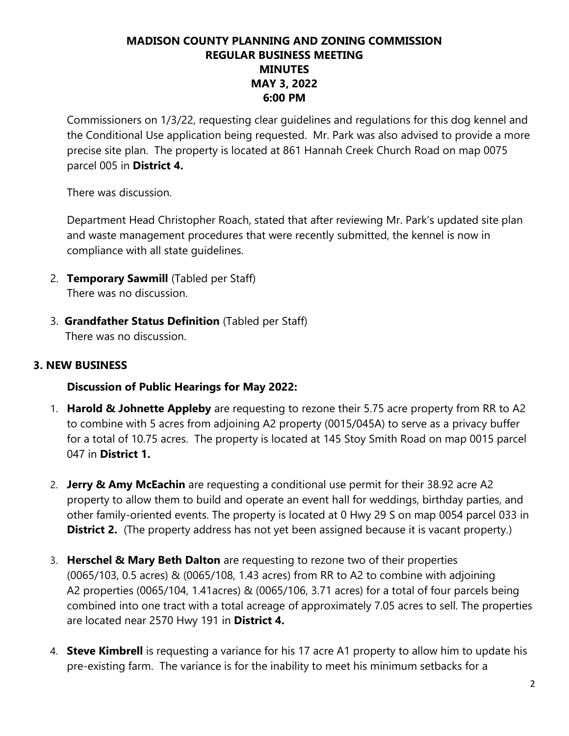# **MADISON COUNTY PLANNING AND ZONING COMMISSION REGULAR BUSINESS MEETING MINUTES MAY 3, 2022 6:00 PM**

Commissioners on 1/3/22, requesting clear guidelines and regulations for this dog kennel and the Conditional Use application being requested. Mr. Park was also advised to provide a more precise site plan. The property is located at 861 Hannah Creek Church Road on map 0075 parcel 005 in **District 4.**

There was discussion.

Department Head Christopher Roach, stated that after reviewing Mr. Park's updated site plan and waste management procedures that were recently submitted, the kennel is now in compliance with all state guidelines.

- 2. **Temporary Sawmill** (Tabled per Staff) There was no discussion.
- 3. **Grandfather Status Definition** (Tabled per Staff) There was no discussion.

## **3. NEW BUSINESS**

## **Discussion of Public Hearings for May 2022:**

- 1. **Harold & Johnette Appleby** are requesting to rezone their 5.75 acre property from RR to A2 to combine with 5 acres from adjoining A2 property (0015/045A) to serve as a privacy buffer for a total of 10.75 acres. The property is located at 145 Stoy Smith Road on map 0015 parcel 047 in **District 1.**
- 2. **Jerry & Amy McEachin** are requesting a conditional use permit for their 38.92 acre A2 property to allow them to build and operate an event hall for weddings, birthday parties, and other family-oriented events. The property is located at 0 Hwy 29 S on map 0054 parcel 033 in **District 2.** (The property address has not yet been assigned because it is vacant property.)
- 3. **Herschel & Mary Beth Dalton** are requesting to rezone two of their properties (0065/103, 0.5 acres) & (0065/108, 1.43 acres) from RR to A2 to combine with adjoining A2 properties (0065/104, 1.41acres) & (0065/106, 3.71 acres) for a total of four parcels being combined into one tract with a total acreage of approximately 7.05 acres to sell. The properties are located near 2570 Hwy 191 in **District 4.**
- 4. **Steve Kimbrell** is requesting a variance for his 17 acre A1 property to allow him to update his pre-existing farm. The variance is for the inability to meet his minimum setbacks for a